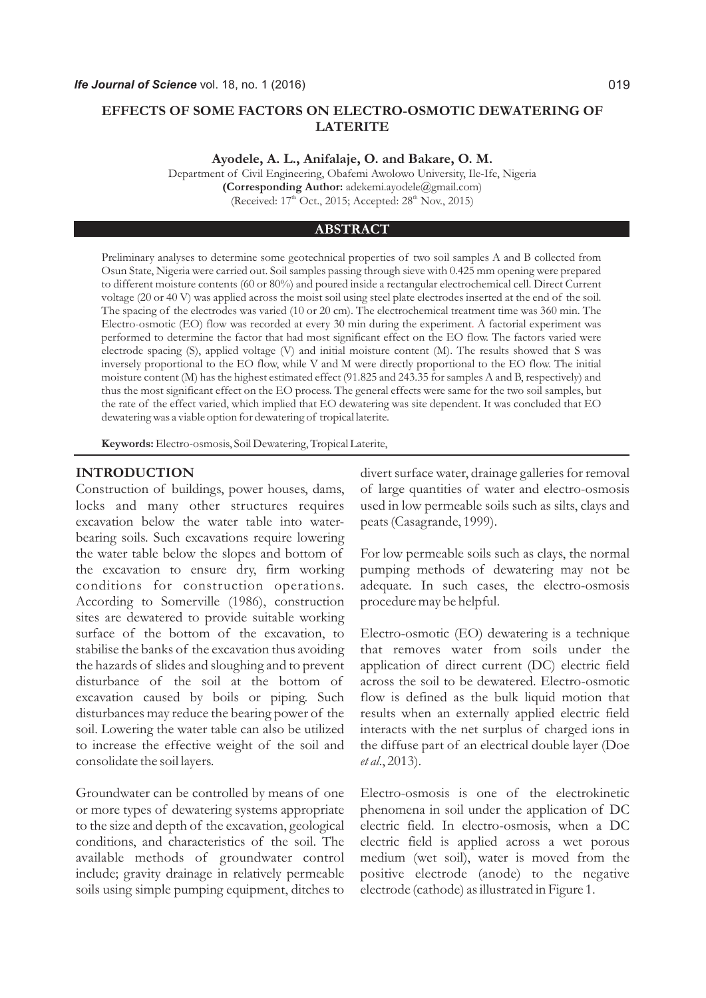# **EFFECTS OF SOME FACTORS ON ELECTRO-OSMOTIC DEWATERING OF LATERITE**

**Ayodele, A. L., Anifalaje, O. and Bakare, O. M.** 

Department of Civil Engineering, Obafemi Awolowo University, Ile-Ife, Nigeria **(Corresponding Author:**  adekemi.ayodele@gmail.com) (Received:  $17<sup>th</sup>$  Oct., 2015; Accepted:  $28<sup>th</sup>$  Nov., 2015)

#### **ABSTRACT**

Preliminary analyses to determine some geotechnical properties of two soil samples A and B collected from Osun State, Nigeria were carried out. Soil samples passing through sieve with 0.425 mm opening were prepared to different moisture contents (60 or 80%) and poured inside a rectangular electrochemical cell. Direct Current voltage (20 or 40 V) was applied across the moist soil using steel plate electrodes inserted at the end of the soil. The spacing of the electrodes was varied (10 or 20 cm). The electrochemical treatment time was 360 min. The Electro-osmotic (EO) flow was recorded at every 30 min during the experiment A factorial experiment was . performed to determine the factor that had most significant effect on the EO flow. The factors varied were electrode spacing (S), applied voltage (V) and initial moisture content (M). The results showed that S was inversely proportional to the EO flow, while V and M were directly proportional to the EO flow. The initial moisture content (M) has the highest estimated effect (91.825 and 243.35 for samples A and B, respectively) and thus the most significant effect on the EO process. The general effects were same for the two soil samples, but the rate of the effect varied, which implied that EO dewatering was site dependent. It was concluded that EO dewatering was a viable option for dewatering of tropical laterite.

**Keywords:** Electro-osmosis, Soil Dewatering, Tropical Laterite,

# **INTRODUCTION**

Construction of buildings, power houses, dams, locks and many other structures requires excavation below the water table into waterbearing soils. Such excavations require lowering the water table below the slopes and bottom of the excavation to ensure dry, firm working conditions for construction operations. According to Somerville (1986), construction sites are dewatered to provide suitable working surface of the bottom of the excavation, to stabilise the banks of the excavation thus avoiding the hazards of slides and sloughing and to prevent disturbance of the soil at the bottom of excavation caused by boils or piping. Such disturbances may reduce the bearing power of the soil. Lowering the water table can also be utilized to increase the effective weight of the soil and consolidate the soil layers.

Groundwater can be controlled by means of one or more types of dewatering systems appropriate to the size and depth of the excavation, geological conditions, and characteristics of the soil. The available methods of groundwater control include; gravity drainage in relatively permeable soils using simple pumping equipment, ditches to divert surface water, drainage galleries for removal of large quantities of water and electro-osmosis used in low permeable soils such as silts, clays and peats (Casagrande, 1999).

For low permeable soils such as clays, the normal pumping methods of dewatering may not be adequate. In such cases, the electro-osmosis procedure may be helpful.

Electro-osmotic (EO) dewatering is a technique that removes water from soils under the application of direct current (DC) electric field across the soil to be dewatered. Electro-osmotic flow is defined as the bulk liquid motion that results when an externally applied electric field interacts with the net surplus of charged ions in the diffuse part of an electrical double layer (Doe *et al*., 2013).

Electro-osmosis is one of the electrokinetic phenomena in soil under the application of DC electric field. In electro-osmosis, when a DC electric field is applied across a wet porous medium (wet soil), water is moved from the positive electrode (anode) to the negative electrode (cathode) as illustrated in Figure 1.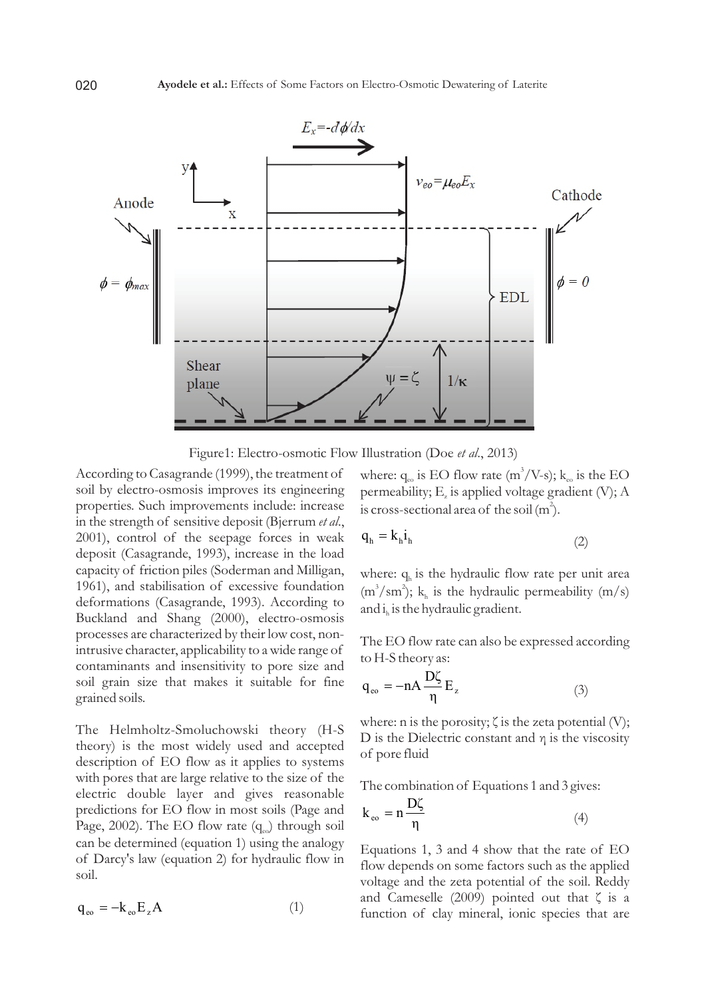

Figure1: Electro-osmotic Flow Illustration (Doe *et al*., 2013)

According to Casagrande (1999), the treatment of soil by electro-osmosis improves its engineering properties. Such improvements include: increase in the strength of sensitive deposit (Bjerrum *et al*., 2001), control of the seepage forces in weak deposit (Casagrande, 1993), increase in the load capacity of friction piles (Soderman and Milligan, 1961), and stabilisation of excessive foundation deformations (Casagrande, 1993). According to Buckland and Shang (2000), electro-osmosis processes are characterized by their low cost, nonintrusive character, applicability to a wide range of contaminants and insensitivity to pore size and soil grain size that makes it suitable for fine grained soils.

The Helmholtz-Smoluchowski theory (H-S theory) is the most widely used and accepted description of EO flow as it applies to systems with pores that are large relative to the size of the electric double layer and gives reasonable predictions for EO flow in most soils (Page and Page, 2002). The EO flow rate  $(q_{\text{eq}})$  through soil can be determined (equation 1) using the analogy of Darcy's law (equation 2) for hydraulic flow in soil.

$$
\mathbf{q}_{\text{eo}} = -\mathbf{k}_{\text{eo}} \mathbf{E}_z \mathbf{A} \tag{1}
$$

where:  $q_e$  is EO flow rate (m<sup>3</sup>/V-s); k<sub>n</sub> is the EO permeability;  $E<sub>z</sub>$  is applied voltage gradient (V);  $A$ is cross-sectional area of the soil  $(m^2)$ .

$$
q_h = k_h i_h \tag{2}
$$

where:  $q_h$  is the hydraulic flow rate per unit area  $(m^3 / sm^2)$ ; k<sub>h</sub> is the hydraulic permeability  $(m/s)$ and  $i_h$  is the hydraulic gradient.

The EO flow rate can also be expressed according to H-S theory as:

$$
q_{\rm eo} = -nA \frac{D\zeta}{\eta} E_z \tag{3}
$$

where: n is the porosity;  $\zeta$  is the zeta potential (V); D is the Dielectric constant and  $\eta$  is the viscosity of pore fluid

The combination of Equations 1 and 3 gives:

$$
k_{\rm eo} = n \frac{D\zeta}{\eta} \tag{4}
$$

Equations 1, 3 and 4 show that the rate of EO flow depends on some factors such as the applied voltage and the zeta potential of the soil. Reddy and Cameselle (2009) pointed out that  $\zeta$  is a function of clay mineral, ionic species that are

020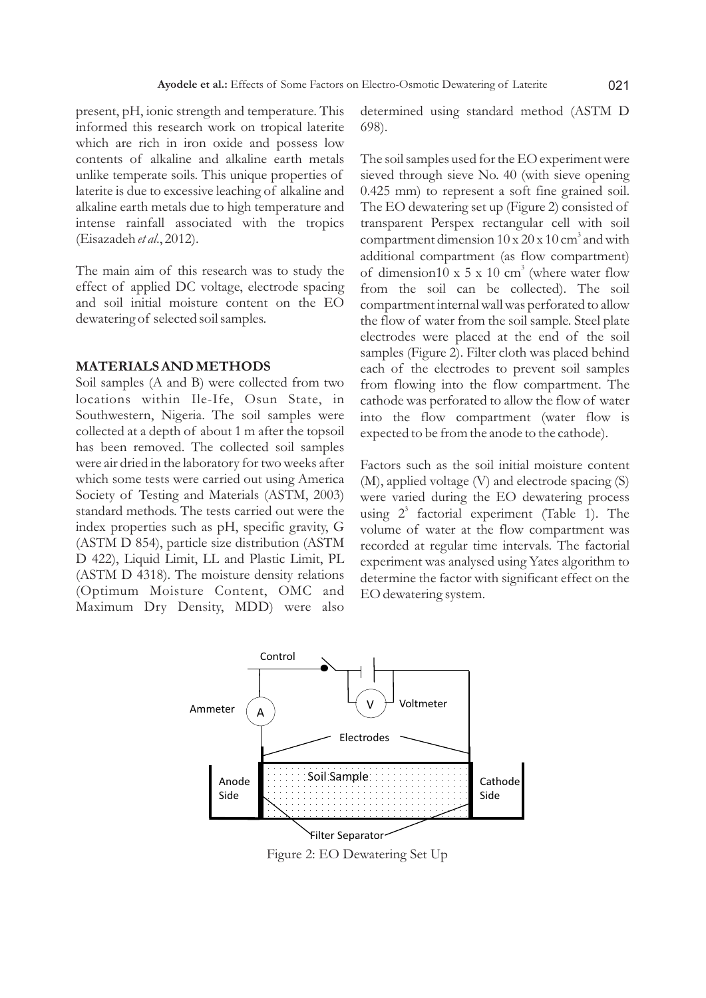present, pH, ionic strength and temperature. This informed this research work on tropical laterite which are rich in iron oxide and possess low contents of alkaline and alkaline earth metals unlike temperate soils. This unique properties of laterite is due to excessive leaching of alkaline and alkaline earth metals due to high temperature and intense rainfall associated with the tropics (Eisazadeh *et al*., 2012).

The main aim of this research was to study the effect of applied DC voltage, electrode spacing and soil initial moisture content on the EO dewatering of selected soil samples.

#### **MATERIALS AND METHODS**

Soil samples (A and B) were collected from two locations within Ile-Ife, Osun State, in Southwestern, Nigeria. The soil samples were collected at a depth of about 1 m after the topsoil has been removed. The collected soil samples were air dried in the laboratory for two weeks after which some tests were carried out using America Society of Testing and Materials (ASTM, 2003) standard methods. The tests carried out were the index properties such as pH, specific gravity, G (ASTM D 854), particle size distribution (ASTM D 422), Liquid Limit, LL and Plastic Limit, PL (ASTM D 4318). The moisture density relations (Optimum Moisture Content, OMC and Maximum Dry Density, MDD) were also determined using standard method (ASTM D 698).

The soil samples used for the EO experiment were sieved through sieve No. 40 (with sieve opening 0.425 mm) to represent a soft fine grained soil. The EO dewatering set up (Figure 2) consisted of transparent Perspex rectangular cell with soil compartment dimension  $10 \times 20 \times 10$  cm<sup>3</sup> and with additional compartment (as flow compartment) of dimension10 x 5 x 10 cm<sup>3</sup> (where water flow from the soil can be collected). The soil compartment internal wall was perforated to allow the flow of water from the soil sample. Steel plate electrodes were placed at the end of the soil samples (Figure 2). Filter cloth was placed behind each of the electrodes to prevent soil samples from flowing into the flow compartment. The cathode was perforated to allow the flow of water into the flow compartment (water flow is expected to be from the anode to the cathode).

Factors such as the soil initial moisture content (M), applied voltage (V) and electrode spacing (S) were varied during the EO dewatering process using  $2^3$  factorial experiment (Table 1). The volume of water at the flow compartment was recorded at regular time intervals. The factorial experiment was analysed using Yates algorithm to determine the factor with significant effect on the EO dewatering system.



Figure 2: EO Dewatering Set Up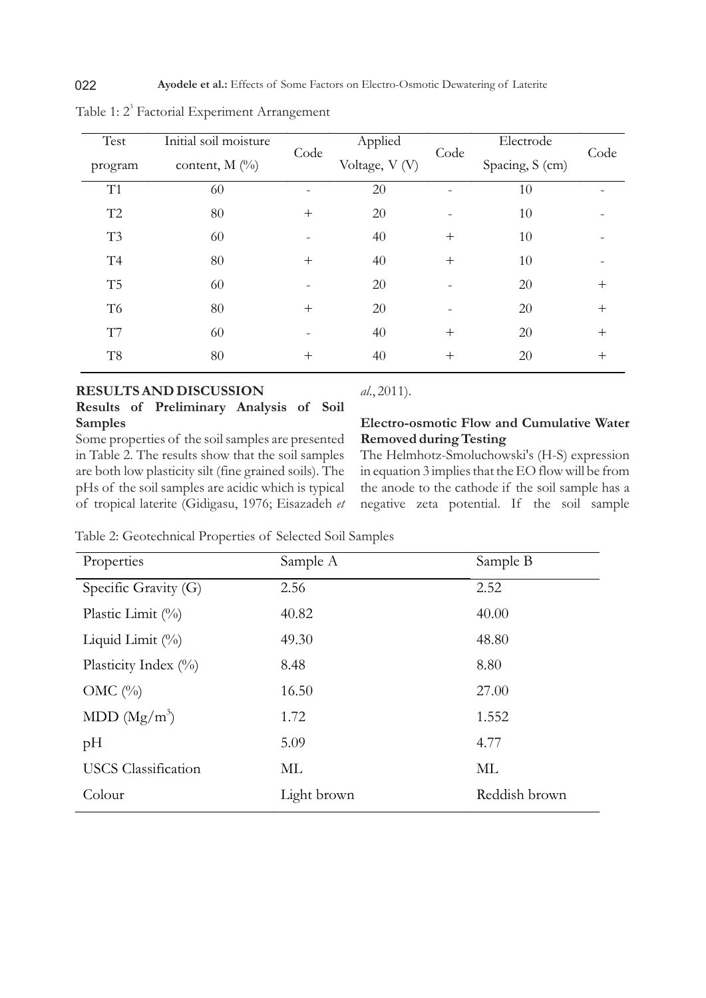| Test           | Initial soil moisture | Code   | Applied        | Code               | Electrode       | Code   |  |
|----------------|-----------------------|--------|----------------|--------------------|-----------------|--------|--|
| program        | content, $M$ (%)      |        | Voltage, V (V) |                    | Spacing, S (cm) |        |  |
| T1             | 60                    |        | 20             |                    | 10              |        |  |
| T2             | $80\,$                | $^{+}$ | 20             |                    | 10              |        |  |
| T3             | 60                    |        | 40             | $^{+}$             | 10              |        |  |
| T4             | $80\,$                | $^{+}$ | 40             | $^{+}$             | 10              |        |  |
| T5             | 60                    |        | 20             |                    | 20              | $^{+}$ |  |
| T <sub>6</sub> | 80                    | $^{+}$ | 20             |                    | 20              | $^{+}$ |  |
| T7             | 60                    |        | 40             | $^{+}$             | 20              | $^{+}$ |  |
| T <sub>8</sub> | 80                    | $^{+}$ | 40             | $\hspace{0.1mm} +$ | 20              | $^+$   |  |

Table 1: 2<sup>3</sup> Factorial Experiment Arrangement

#### **RESULTS AND DISCUSSION**

**Results of Preliminary Analysis of Soil Samples**

Some properties of the soil samples are presented in Table 2. The results show that the soil samples are both low plasticity silt (fine grained soils). The pHs of the soil samples are acidic which is typical of tropical laterite (Gidigasu, 1976; Eisazadeh *et* 

# *al*., 2011).

# **Electro-osmotic Flow and Cumulative Water Removed during Testing**

The Helmhotz-Smoluchowski's (H-S) expression in equation 3 implies that the EO flow will be from the anode to the cathode if the soil sample has a negative zeta potential. If the soil sample

Table 2: Geotechnical Properties of Selected Soil Samples

| Properties                 | Sample A    | Sample B      |
|----------------------------|-------------|---------------|
| Specific Gravity (G)       | 2.56        | 2.52          |
| Plastic Limit $(\%)$       | 40.82       | 40.00         |
| Liquid Limit $(\%)$        | 49.30       | 48.80         |
| Plasticity Index $(\%)$    | 8.48        | 8.80          |
| OMC $(\%)$                 | 16.50       | 27.00         |
| MDD $(Mg/m^3)$             | 1.72        | 1.552         |
| pH                         | 5.09        | 4.77          |
| <b>USCS</b> Classification | ML          | ML            |
| Colour                     | Light brown | Reddish brown |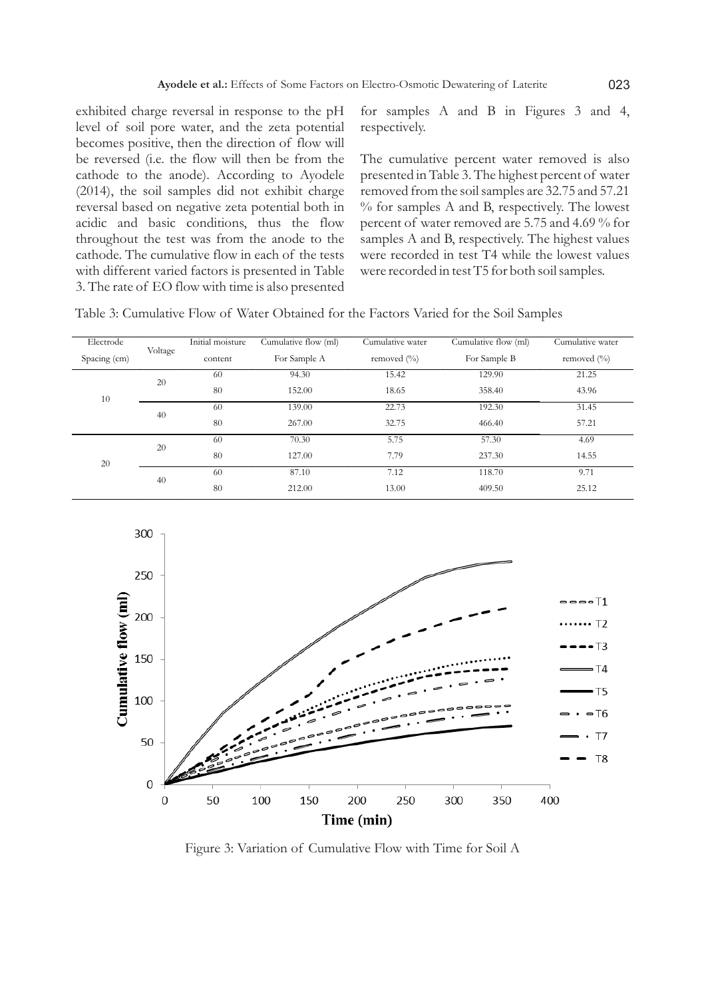exhibited charge reversal in response to the pH level of soil pore water, and the zeta potential becomes positive, then the direction of flow will be reversed (i.e. the flow will then be from the cathode to the anode). According to Ayodele (2014), the soil samples did not exhibit charge reversal based on negative zeta potential both in acidic and basic conditions, thus the flow throughout the test was from the anode to the cathode. The cumulative flow in each of the tests with different varied factors is presented in Table 3. The rate of EO flow with time is also presented for samples A and B in Figures 3 and 4, respectively.

The cumulative percent water removed is also presented in Table 3. The highest percent of water removed from the soil samples are 32.75 and 57.21 % for samples A and B, respectively. The lowest percent of water removed are 5.75 and 4.69 % for samples A and B, respectively. The highest values were recorded in test T4 while the lowest values were recorded in test T5 for both soil samples.

Table 3: Cumulative Flow of Water Obtained for the Factors Varied for the Soil Samples

| Electrode<br>Spacing (cm) | Voltage | Initial moisture<br>content | Cumulative flow (ml)<br>For Sample A | Cumulative water<br>removed $\left(\frac{0}{0}\right)$ | Cumulative flow (ml)<br>For Sample B | Cumulative water<br>removed $(\%$ |
|---------------------------|---------|-----------------------------|--------------------------------------|--------------------------------------------------------|--------------------------------------|-----------------------------------|
|                           | 20      | 60                          | 94.30                                | 15.42                                                  | 129.90                               | 21.25                             |
| 10                        |         | 80                          | 152.00                               | 18.65                                                  | 358.40                               | 43.96                             |
|                           |         | 60                          | 139.00                               | 22.73                                                  | 192.30                               | 31.45                             |
|                           | 40      | 80                          | 267.00                               | 32.75                                                  | 466.40                               | 57.21                             |
|                           | 20      | 60                          | 70.30                                | 5.75                                                   | 57.30                                | 4.69                              |
| 20                        |         | 80                          | 127.00                               | 7.79                                                   | 237.30                               | 14.55                             |
|                           | 40      | 60                          | 87.10                                | 7.12                                                   | 118.70                               | 9.71                              |
|                           |         | 80                          | 212.00                               | 13.00                                                  | 409.50                               | 25.12                             |



Figure 3: Variation of Cumulative Flow with Time for Soil A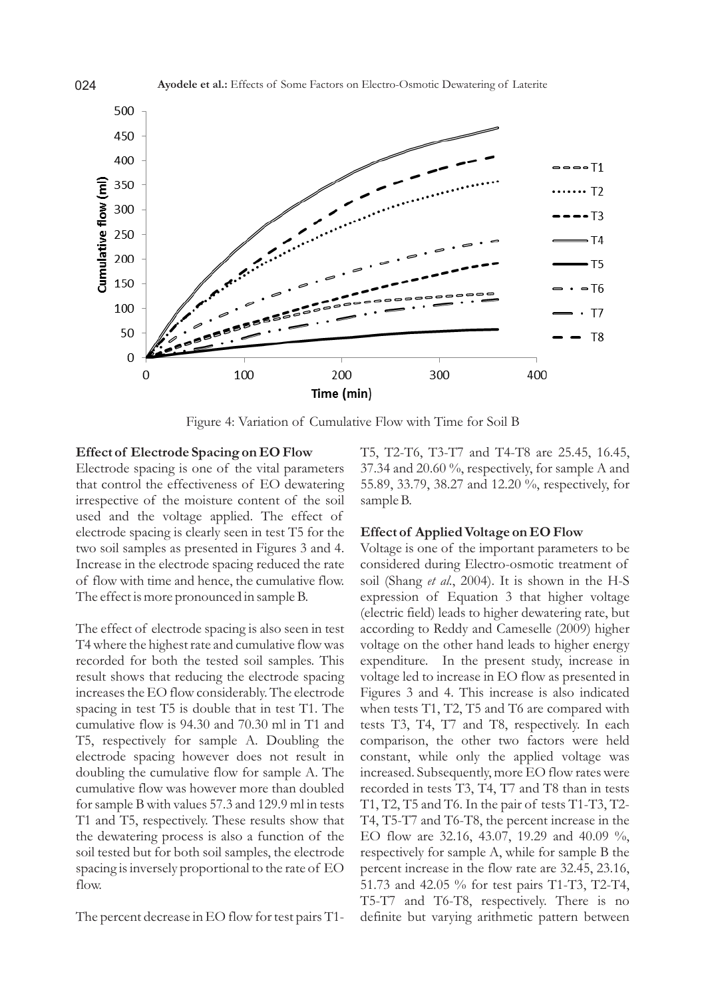

Figure 4: Variation of Cumulative Flow with Time for Soil B

#### **Effect of Electrode Spacing on EO Flow**

Electrode spacing is one of the vital parameters that control the effectiveness of EO dewatering irrespective of the moisture content of the soil used and the voltage applied. The effect of electrode spacing is clearly seen in test T5 for the two soil samples as presented in Figures 3 and 4. Increase in the electrode spacing reduced the rate of flow with time and hence, the cumulative flow. The effect is more pronounced in sample B.

The effect of electrode spacing is also seen in test T4 where the highest rate and cumulative flow was recorded for both the tested soil samples. This result shows that reducing the electrode spacing increases the EO flow considerably. The electrode spacing in test T5 is double that in test T1. The cumulative flow is 94.30 and 70.30 ml in T1 and T5, respectively for sample A. Doubling the electrode spacing however does not result in doubling the cumulative flow for sample A. The cumulative flow was however more than doubled for sample B with values 57.3 and 129.9 ml in tests T1 and T5, respectively. These results show that the dewatering process is also a function of the soil tested but for both soil samples, the electrode spacing is inversely proportional to the rate of EO flow.

The percent decrease in EO flow for test pairs T1-

T5, T2-T6, T3-T7 and T4-T8 are 25.45, 16.45, 37.34 and 20.60 %, respectively, for sample A and 55.89, 33.79, 38.27 and 12.20 %, respectively, for sample B.

#### **Effect of Applied Voltage on EO Flow**

Voltage is one of the important parameters to be considered during Electro-osmotic treatment of soil (Shang *et al*., 2004). It is shown in the H-S expression of Equation 3 that higher voltage (electric field) leads to higher dewatering rate, but according to Reddy and Cameselle (2009) higher voltage on the other hand leads to higher energy expenditure. In the present study, increase in voltage led to increase in EO flow as presented in Figures 3 and 4. This increase is also indicated when tests T1, T2, T5 and T6 are compared with tests T3, T4, T7 and T8, respectively. In each comparison, the other two factors were held constant, while only the applied voltage was increased. Subsequently, more EO flow rates were recorded in tests T3, T4, T7 and T8 than in tests T1, T2, T5 and T6. In the pair of tests T1-T3, T2- T4, T5-T7 and T6-T8, the percent increase in the EO flow are 32.16, 43.07, 19.29 and 40.09 %, respectively for sample A, while for sample B the percent increase in the flow rate are 32.45, 23.16, 51.73 and 42.05 % for test pairs T1-T3, T2-T4, T5-T7 and T6-T8, respectively. There is no definite but varying arithmetic pattern between

024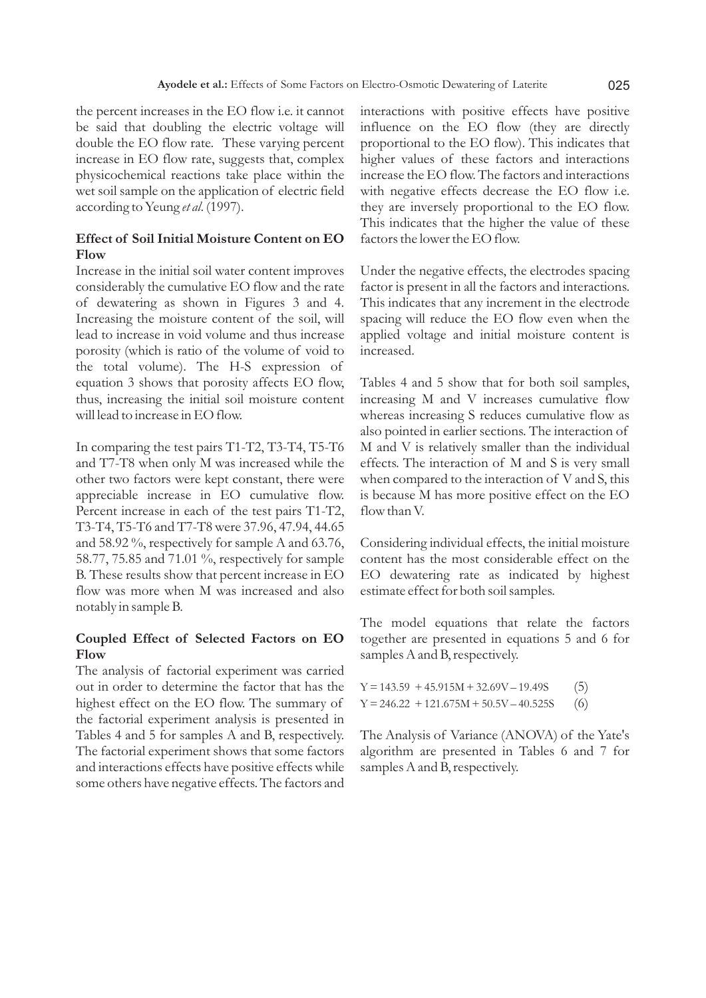the percent increases in the EO flow i.e. it cannot be said that doubling the electric voltage will double the EO flow rate. These varying percent increase in EO flow rate, suggests that, complex physicochemical reactions take place within the wet soil sample on the application of electric field according to Yeung *et al*. (1997).

# **Effect of Soil Initial Moisture Content on EO Flow**

Increase in the initial soil water content improves considerably the cumulative EO flow and the rate of dewatering as shown in Figures 3 and 4. Increasing the moisture content of the soil, will lead to increase in void volume and thus increase porosity (which is ratio of the volume of void to the total volume). The H-S expression of equation 3 shows that porosity affects EO flow, thus, increasing the initial soil moisture content will lead to increase in EO flow.

In comparing the test pairs T1-T2, T3-T4, T5-T6 and T7-T8 when only M was increased while the other two factors were kept constant, there were appreciable increase in EO cumulative flow. Percent increase in each of the test pairs T1-T2, T3-T4, T5-T6 and T7-T8 were 37.96, 47.94, 44.65 and 58.92 %, respectively for sample A and 63.76, 58.77, 75.85 and 71.01 %, respectively for sample B. These results show that percent increase in EO flow was more when M was increased and also notably in sample B.

# **Coupled Effect of Selected Factors on EO Flow**

The analysis of factorial experiment was carried out in order to determine the factor that has the highest effect on the EO flow. The summary of the factorial experiment analysis is presented in Tables 4 and 5 for samples A and B, respectively. The factorial experiment shows that some factors and interactions effects have positive effects while some others have negative effects. The factors and interactions with positive effects have positive influence on the EO flow (they are directly proportional to the EO flow). This indicates that higher values of these factors and interactions increase the EO flow. The factors and interactions with negative effects decrease the EO flow i.e. they are inversely proportional to the EO flow. This indicates that the higher the value of these factors the lower the EO flow.

Under the negative effects, the electrodes spacing factor is present in all the factors and interactions. This indicates that any increment in the electrode spacing will reduce the EO flow even when the applied voltage and initial moisture content is increased.

Tables 4 and 5 show that for both soil samples, increasing M and V increases cumulative flow whereas increasing S reduces cumulative flow as also pointed in earlier sections. The interaction of M and V is relatively smaller than the individual effects. The interaction of M and S is very small when compared to the interaction of V and S, this is because M has more positive effect on the EO flow than V.

Considering individual effects, the initial moisture content has the most considerable effect on the EO dewatering rate as indicated by highest estimate effect for both soil samples.

The model equations that relate the factors together are presented in equations 5 and 6 for samples A and B, respectively.

| $Y = 143.59 + 45.915M + 32.69V - 19.49S$  | (5) |
|-------------------------------------------|-----|
| $Y = 246.22 + 121.675M + 50.5V - 40.525S$ | (6) |

The Analysis of Variance (ANOVA) of the Yate's algorithm are presented in Tables 6 and 7 for samples A and B, respectively.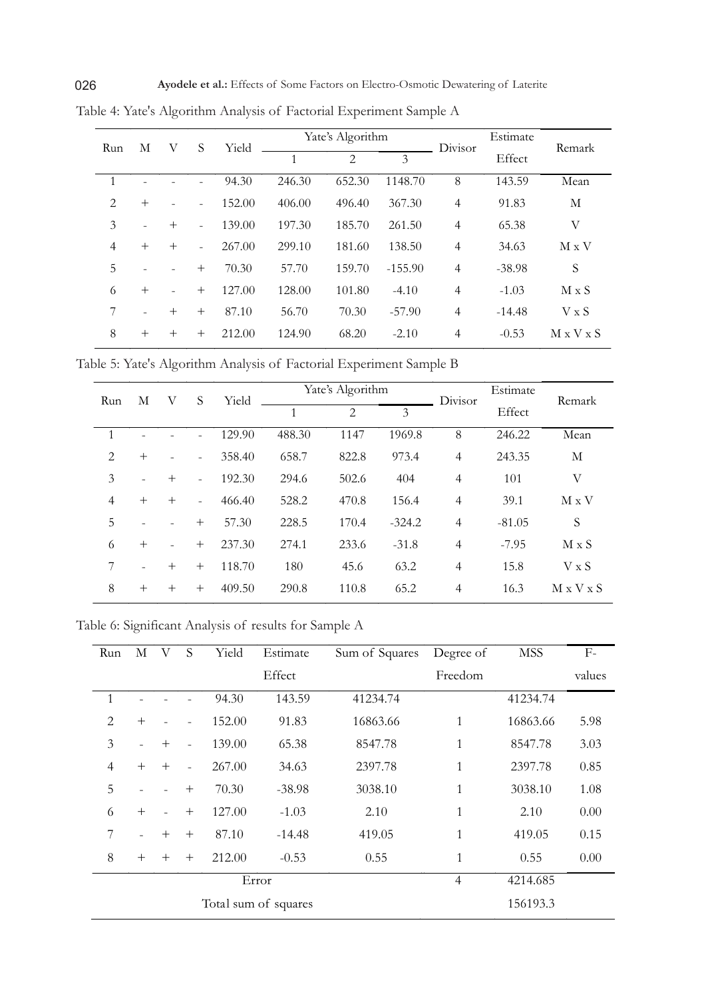| V<br>М<br>Run  |        |                | S              | Yield          | Yate's Algorithm |        |           | Divisor        | Estimate | Remark                |  |
|----------------|--------|----------------|----------------|----------------|------------------|--------|-----------|----------------|----------|-----------------------|--|
|                |        |                |                | $\overline{1}$ | $\mathfrak{D}$   | 3      |           | Effect         |          |                       |  |
| $\mathbf{1}$   |        |                |                | 94.30          | 246.30           | 652.30 | 1148.70   | 8              | 143.59   | Mean                  |  |
| 2              | $^{+}$ |                | $\overline{a}$ | 152.00         | 406.00           | 496.40 | 367.30    | $\overline{4}$ | 91.83    | М                     |  |
| 3              |        | $^{+}$         | $\overline{a}$ | 139.00         | 197.30           | 185.70 | 261.50    | $\overline{4}$ | 65.38    | V                     |  |
| $\overline{4}$ | $^{+}$ | $+$            | $\overline{a}$ | 267.00         | 299.10           | 181.60 | 138.50    | 4              | 34.63    | $M \times V$          |  |
| 5              |        |                | $^{+}$         | 70.30          | 57.70            | 159.70 | $-155.90$ | $\overline{4}$ | $-38.98$ | S                     |  |
| 6              | $^{+}$ | $\overline{a}$ | $^{+}$         | 127.00         | 128.00           | 101.80 | $-4.10$   | $\overline{4}$ | $-1.03$  | $M \times S$          |  |
|                |        | $+$            | $^{+}$         | 87.10          | 56.70            | 70.30  | $-57.90$  | $\overline{4}$ | $-14.48$ | $V \times S$          |  |
| 8              | $^{+}$ | $^{+}$         | $^{+}$         | 212.00         | 124.90           | 68.20  | $-2.10$   | 4              | $-0.53$  | $M \times V \times S$ |  |

Table 4: Yate's Algorithm Analysis of Factorial Experiment Sample A

Table 5: Yate's Algorithm Analysis of Factorial Experiment Sample B

| М<br>V<br>Run  |        | S      | Yield                    | Yate's Algorithm |                |       | Divisor  | Estimate       | Remark   |                       |
|----------------|--------|--------|--------------------------|------------------|----------------|-------|----------|----------------|----------|-----------------------|
|                |        |        |                          | 1                | $\overline{2}$ | 3     |          | Effect         |          |                       |
|                |        |        |                          | 129.90           | 488.30         | 1147  | 1969.8   | 8              | 246.22   | Mean                  |
| $\overline{2}$ | $^{+}$ |        | $\overline{\phantom{a}}$ | 358.40           | 658.7          | 822.8 | 973.4    | $\overline{4}$ | 243.35   | М                     |
| 3              |        | $^{+}$ | $\overline{a}$           | 192.30           | 294.6          | 502.6 | 404      | $\overline{4}$ | 101      | V                     |
| 4              | $^{+}$ | $^{+}$ | $\overline{\phantom{a}}$ | 466.40           | 528.2          | 470.8 | 156.4    | $\overline{4}$ | 39.1     | $M \times V$          |
| 5              |        |        | $^{+}$                   | 57.30            | 228.5          | 170.4 | $-324.2$ | $\overline{4}$ | $-81.05$ | S                     |
| 6              | $+$    |        | $^{+}$                   | 237.30           | 274.1          | 233.6 | $-31.8$  | $\overline{4}$ | $-7.95$  | $M \times S$          |
| 7              |        | $^{+}$ | $^{+}$                   | 118.70           | 180            | 45.6  | 63.2     | $\overline{4}$ | 15.8     | $V \times S$          |
| 8              | $^{+}$ | $^{+}$ | $^{+}$                   | 409.50           | 290.8          | 110.8 | 65.2     | $\overline{4}$ | 16.3     | $M \times V \times S$ |

Table 6: Significant Analysis of results for Sample A

| Run            | М      | V      | S              | Yield  | Estimate             | Sum of Squares | Degree of      | <b>MSS</b> | $F-$   |
|----------------|--------|--------|----------------|--------|----------------------|----------------|----------------|------------|--------|
|                |        |        |                |        | Effect               |                | Freedom        |            | values |
| 1              |        |        |                | 94.30  | 143.59               | 41234.74       |                | 41234.74   |        |
| $\overline{2}$ | $+$    |        |                | 152.00 | 91.83                | 16863.66       | $\mathbf{1}$   | 16863.66   | 5.98   |
| 3              |        | $+$    | ÷              | 139.00 | 65.38                | 8547.78        | $\mathbf{1}$   | 8547.78    | 3.03   |
| $\overline{4}$ | $+$    | $+$    | $\overline{a}$ | 267.00 | 34.63                | 2397.78        | 1              | 2397.78    | 0.85   |
| 5              |        |        | $+$            | 70.30  | $-38.98$             | 3038.10        | $\mathbf{1}$   | 3038.10    | 1.08   |
| 6              | $+$    |        | $^{+}$         | 127.00 | $-1.03$              | 2.10           | 1              | 2.10       | 0.00   |
| 7              |        | $^{+}$ | $+$            | 87.10  | $-14.48$             | 419.05         | $\mathbf{1}$   | 419.05     | 0.15   |
| 8              | $^{+}$ | $^{+}$ | $^{+}$         | 212.00 | $-0.53$              | 0.55           | $\mathbf{1}$   | 0.55       | 0.00   |
|                |        |        |                |        | Error                |                | $\overline{4}$ | 4214.685   |        |
|                |        |        |                |        | Total sum of squares |                |                | 156193.3   |        |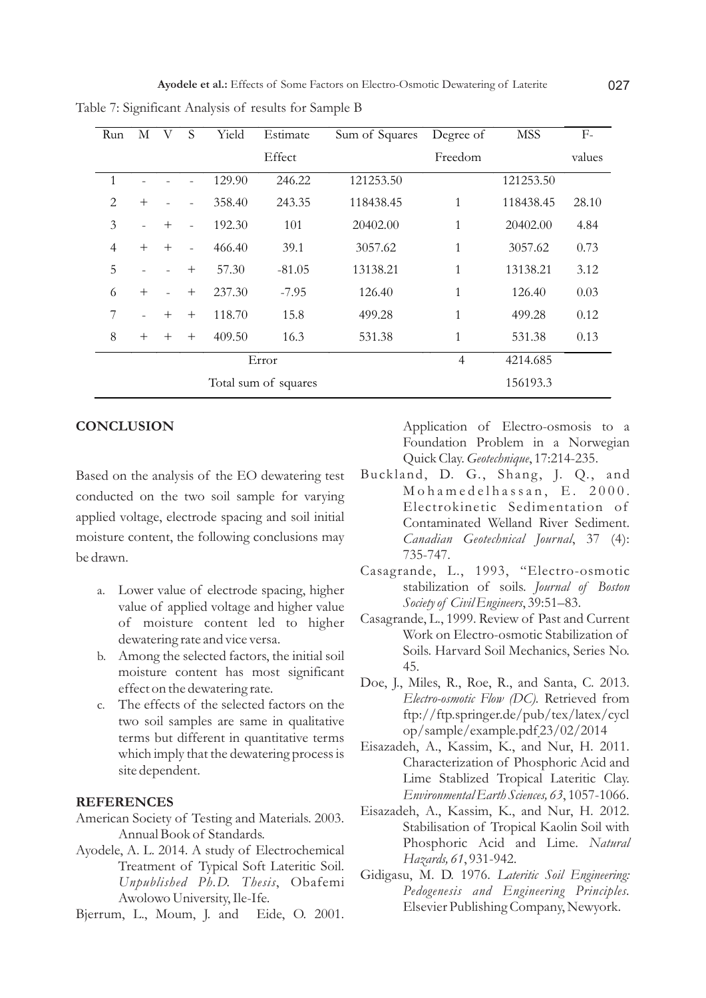| Run            | М                    | V   | S              | Yield  | Estimate | Sum of Squares | Degree of   | <b>MSS</b> | $F-$   |
|----------------|----------------------|-----|----------------|--------|----------|----------------|-------------|------------|--------|
|                |                      |     |                |        | Effect   |                | Freedom     |            | values |
| 1              |                      |     |                | 129.90 | 246.22   | 121253.50      |             | 121253.50  |        |
| $\mathcal{L}$  | $^{+}$               |     |                | 358.40 | 243.35   | 118438.45      | 1           | 118438.45  | 28.10  |
| 3              |                      | $+$ | $\overline{a}$ | 192.30 | 101      | 20402.00       | 1           | 20402.00   | 4.84   |
| $\overline{4}$ | $+$                  | $+$ | $\overline{a}$ | 466.40 | 39.1     | 3057.62        | $\mathbf 1$ | 3057.62    | 0.73   |
| 5              |                      |     | $^{+}$         | 57.30  | $-81.05$ | 13138.21       | 1           | 13138.21   | 3.12   |
| 6              | $^{+}$               |     | $^{+}$         | 237.30 | $-7.95$  | 126.40         | 1           | 126.40     | 0.03   |
| 7              |                      | $+$ | $^{+}$         | 118.70 | 15.8     | 499.28         | 1           | 499.28     | 0.12   |
| 8              | $^{+}$               | $+$ | $^{+}$         | 409.50 | 16.3     | 531.38         | 1           | 531.38     | 0.13   |
| Error          |                      |     |                |        |          | $\overline{4}$ | 4214.685    |            |        |
|                | Total sum of squares |     |                |        |          |                |             | 156193.3   |        |

Table 7: Significant Analysis of results for Sample B

### **CONCLUSION**

Based on the analysis of the EO dewatering test conducted on the two soil sample for varying applied voltage, electrode spacing and soil initial moisture content, the following conclusions may be drawn.

- a. Lower value of electrode spacing, higher value of applied voltage and higher value of moisture content led to higher dewatering rate and vice versa.
- b. Among the selected factors, the initial soil moisture content has most significant effect on the dewatering rate.
- c. The effects of the selected factors on the two soil samples are same in qualitative terms but different in quantitative terms which imply that the dewatering process is site dependent.

#### **REFERENCES**

- American Society of Testing and Materials. 2003. Annual Book of Standards.
- Ayodele, A. L. 2014. A study of Electrochemical Treatment of Typical Soft Lateritic Soil. *Unpublished Ph.D. Thesis*, Obafemi Awolowo University, Ile-Ife.
- Bjerrum, L., Moum, J. and Eide, O. 2001.

Application of Electro-osmosis to a Foundation Problem in a Norwegian Quick Clay. *Geotechnique*, 17:214-235.

- Buckland, D. G., Shang, J. Q., and M o h a m e d e l h a s s a n, E. 2000. Electrokinetic Sedimentation of Contaminated Welland River Sediment. *Canadian Geotechnical Journal*, 37 (4): 735-747.
- Casagrande, L., 1993, "Electro-osmotic stabilization of soils. *Journal of Boston Society of Civil Engineers*, 39:51–83.
- Casagrande, L., 1999. Review of Past and Current Work on Electro-osmotic Stabilization of Soils. Harvard Soil Mechanics, Series No. 45.
- Doe, J., Miles, R., Roe, R., and Santa, C. 2013. *Electro-osmotic Flow (DC).* Retrieved from ftp://ftp.springer.de/pub/tex/latex/cycl op/sample/example.pdf 23/02/2014
- Eisazadeh, A., Kassim, K., and Nur, H. 2011. Characterization of Phosphoric Acid and Lime Stablized Tropical Lateritic Clay. *Environmental Earth Sciences, 63*, 1057-1066.
- Eisazadeh, A., Kassim, K., and Nur, H. 2012. Stabilisation of Tropical Kaolin Soil with Phosphoric Acid and Lime. *Natural Hazards, 61*, 931-942.
- Gidigasu, M. D. 1976. *Lateritic Soil Engineering: Pedogenesis and Engineering Principles.* Elsevier Publishing Company, Newyork.